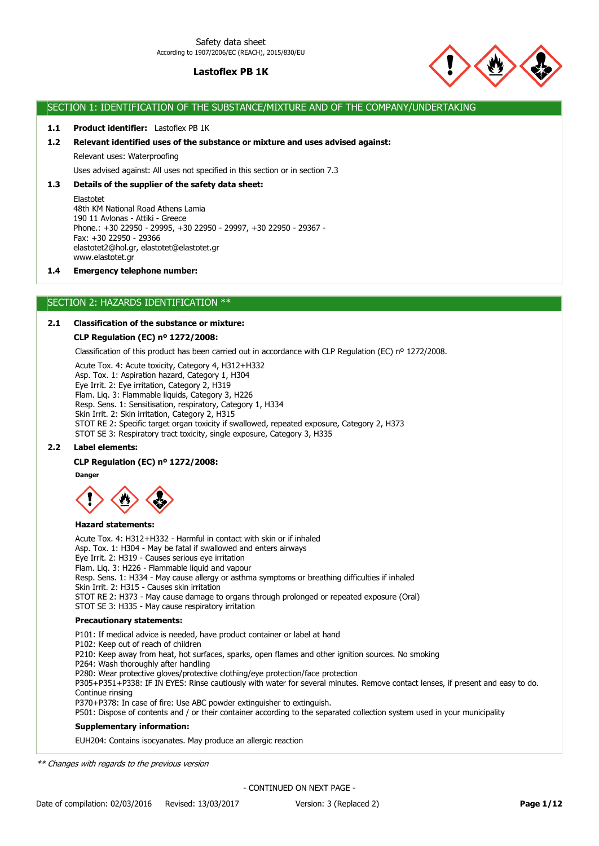

## SECTION 1: IDENTIFICATION OF THE SUBSTANCE/MIXTURE AND OF THE COMPANY/UNDERTAKING

## **1.1 Product identifier:** Lastoflex PB 1K

### **1.2 Relevant identified uses of the substance or mixture and uses advised against:**

Relevant uses: Waterproofing

Uses advised against: All uses not specified in this section or in section 7.3

## **1.3 Details of the supplier of the safety data sheet:**

Elastotet 48th KM National Road Athens Lamia 190 11 Avlonas - Attiki - Greece Phone.: +30 22950 - 29995, +30 22950 - 29997, +30 22950 - 29367 - Fax: +30 22950 - 29366 elastotet2@hol.gr, elastotet@elastotet.gr www.elastotet.gr

### **1.4 Emergency telephone number:**

# SECTION 2: HAZARDS IDENTIFICATION \*\*

## **2.1 Classification of the substance or mixture:**

### **CLP Regulation (EC) nº 1272/2008:**

Classification of this product has been carried out in accordance with CLP Regulation (EC) nº 1272/2008.

Acute Tox. 4: Acute toxicity, Category 4, H312+H332

Asp. Tox. 1: Aspiration hazard, Category 1, H304 Eye Irrit. 2: Eye irritation, Category 2, H319 Flam. Liq. 3: Flammable liquids, Category 3, H226 Resp. Sens. 1: Sensitisation, respiratory, Category 1, H334 Skin Irrit. 2: Skin irritation, Category 2, H315 STOT RE 2: Specific target organ toxicity if swallowed, repeated exposure, Category 2, H373 STOT SE 3: Respiratory tract toxicity, single exposure, Category 3, H335

### **2.2 Label elements:**

### **CLP Regulation (EC) nº 1272/2008:**

**Danger**



### **Hazard statements:**

Acute Tox. 4: H312+H332 - Harmful in contact with skin or if inhaled Asp. Tox. 1: H304 - May be fatal if swallowed and enters airways Eye Irrit. 2: H319 - Causes serious eye irritation Flam. Liq. 3: H226 - Flammable liquid and vapour Resp. Sens. 1: H334 - May cause allergy or asthma symptoms or breathing difficulties if inhaled Skin Irrit. 2: H315 - Causes skin irritation STOT RE 2: H373 - May cause damage to organs through prolonged or repeated exposure (Oral) STOT SE 3: H335 - May cause respiratory irritation

## **Precautionary statements:**

**Supplementary information:** P101: If medical advice is needed, have product container or label at hand P102: Keep out of reach of children P210: Keep away from heat, hot surfaces, sparks, open flames and other ignition sources. No smoking P264: Wash thoroughly after handling P280: Wear protective gloves/protective clothing/eye protection/face protection P305+P351+P338: IF IN EYES: Rinse cautiously with water for several minutes. Remove contact lenses, if present and easy to do. Continue rinsing P370+P378: In case of fire: Use ABC powder extinguisher to extinguish. P501: Dispose of contents and / or their container according to the separated collection system used in your municipality

EUH204: Contains isocyanates. May produce an allergic reaction

\*\* Changes with regards to the previous version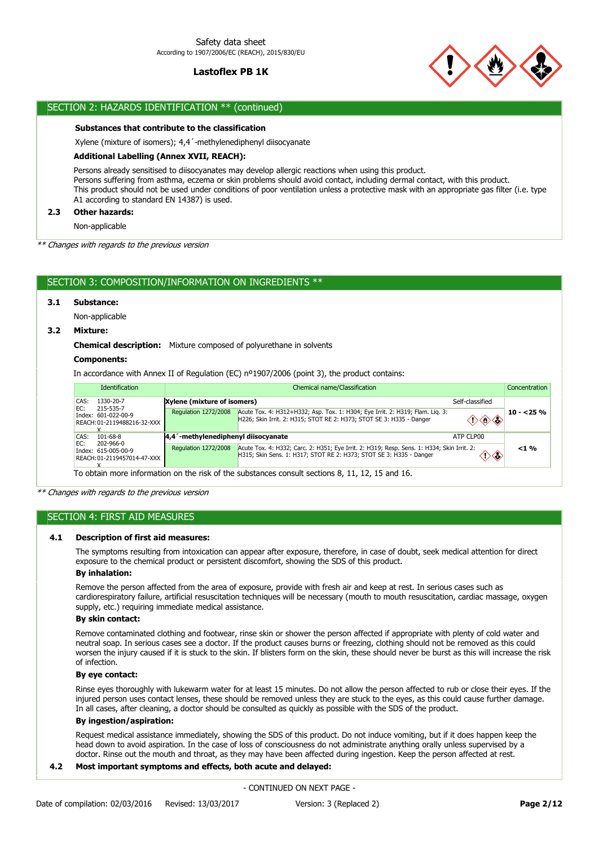

# SECTION 2: HAZARDS IDENTIFICATION \*\* (continued)

### **Substances that contribute to the classification**

Xylene (mixture of isomers); 4,4´-methylenediphenyl diisocyanate

### **Additional Labelling (Annex XVII, REACH):**

Persons already sensitised to diisocyanates may develop allergic reactions when using this product. Persons suffering from asthma, eczema or skin problems should avoid contact, including dermal contact, with this product. This product should not be used under conditions of poor ventilation unless a protective mask with an appropriate gas filter (i.e. type A1 according to standard EN 14387) is used.

## **2.3 Other hazards:**

Non-applicable

\*\* Changes with regards to the previous version

## SECTION 3: COMPOSITION/INFORMATION ON INGREDIENTS \*\*

## **3.1 Substance:**

Non-applicable

## **3.2 Mixture:**

**Chemical description:** Mixture composed of polyurethane in solvents

## **Components:**

In accordance with Annex II of Regulation (EC) nº1907/2006 (point 3), the product contains:

| <b>Identification</b>                                                  |                             | Chemical name/Classification<br>Concentration |                                                                                                                                                                   |                                          |            |
|------------------------------------------------------------------------|-----------------------------|-----------------------------------------------|-------------------------------------------------------------------------------------------------------------------------------------------------------------------|------------------------------------------|------------|
| CAS:<br>1330-20-7                                                      |                             | Xylene (mixture of isomers)                   |                                                                                                                                                                   | Self-classified                          |            |
| EC:<br>215-535-7<br>Index: 601-022-00-9<br>REACH: 01-2119488216-32-XXX |                             | Regulation 1272/2008                          | Acute Tox. 4: H312+H332; Asp. Tox. 1: H304; Eye Irrit. 2: H319; Flam. Lig. 3:<br>H226; Skin Irrit. 2: H315; STOT RE 2: H373; STOT SE 3: H335 - Danger             | $\diamondsuit \diamondsuit \diamondsuit$ | $10 - 25%$ |
| CAS:<br>101-68-8                                                       |                             | 4,4 -methylenediphenyl diisocyanate           |                                                                                                                                                                   | ATP CLP00                                |            |
| EC:<br>202-966-0<br>Index: 615-005-00-9                                | REACH: 01-2119457014-47-XXX | <b>Regulation 1272/2008</b>                   | Acute Tox. 4: H332; Carc. 2: H351; Eye Irrit. 2: H319; Resp. Sens. 1: H334; Skin Irrit. 2:<br>H315; Skin Sens. 1: H317; STOT RE 2: H373; STOT SE 3: H335 - Danger | ◇◇                                       | $<$ 1 %    |
|                                                                        |                             |                                               | To obtain more information on the risk of the substances consult sections 8, 11, 12, 15 and 16.                                                                   |                                          |            |

\*\* Changes with regards to the previous version

### SECTION 4: FIRST AID MEASURES

#### **4.1 Description of first aid measures:**

The symptoms resulting from intoxication can appear after exposure, therefore, in case of doubt, seek medical attention for direct exposure to the chemical product or persistent discomfort, showing the SDS of this product.

### **By inhalation:**

Remove the person affected from the area of exposure, provide with fresh air and keep at rest. In serious cases such as cardiorespiratory failure, artificial resuscitation techniques will be necessary (mouth to mouth resuscitation, cardiac massage, oxygen supply, etc.) requiring immediate medical assistance.

## **By skin contact:**

Remove contaminated clothing and footwear, rinse skin or shower the person affected if appropriate with plenty of cold water and neutral soap. In serious cases see a doctor. If the product causes burns or freezing, clothing should not be removed as this could worsen the injury caused if it is stuck to the skin. If blisters form on the skin, these should never be burst as this will increase the risk of infection.

## **By eye contact:**

Rinse eyes thoroughly with lukewarm water for at least 15 minutes. Do not allow the person affected to rub or close their eyes. If the injured person uses contact lenses, these should be removed unless they are stuck to the eyes, as this could cause further damage. In all cases, after cleaning, a doctor should be consulted as quickly as possible with the SDS of the product.

#### **By ingestion/aspiration:**

Request medical assistance immediately, showing the SDS of this product. Do not induce vomiting, but if it does happen keep the head down to avoid aspiration. In the case of loss of consciousness do not administrate anything orally unless supervised by a doctor. Rinse out the mouth and throat, as they may have been affected during ingestion. Keep the person affected at rest.

## **4.2 Most important symptoms and effects, both acute and delayed:**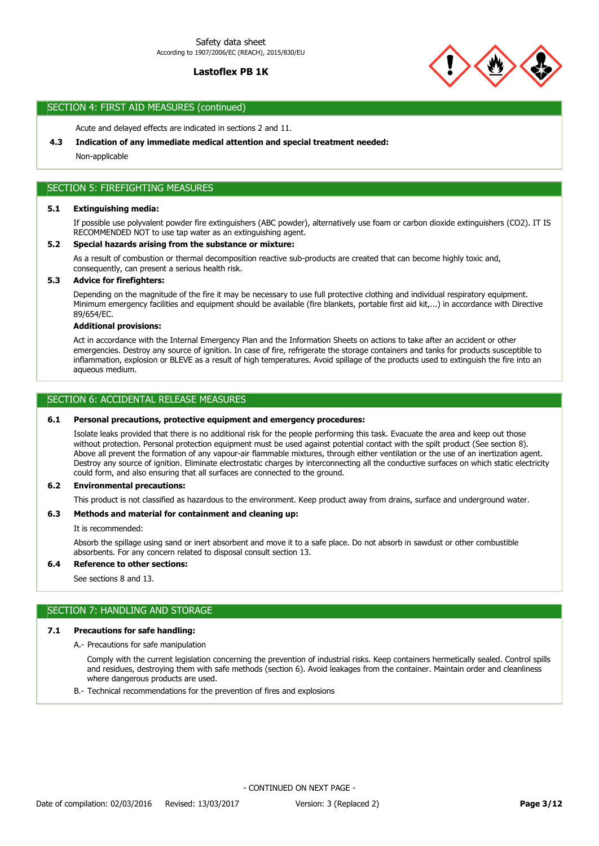

# SECTION 4: FIRST AID MEASURES (continued)

Acute and delayed effects are indicated in sections 2 and 11.

### **4.3 Indication of any immediate medical attention and special treatment needed:**

Non-applicable

# SECTION 5: FIREFIGHTING MEASURES

## **5.1 Extinguishing media:**

If possible use polyvalent powder fire extinguishers (ABC powder), alternatively use foam or carbon dioxide extinguishers (CO2). IT IS RECOMMENDED NOT to use tap water as an extinguishing agent.

### **5.2 Special hazards arising from the substance or mixture:**

As a result of combustion or thermal decomposition reactive sub-products are created that can become highly toxic and, consequently, can present a serious health risk.

## **5.3 Advice for firefighters:**

Depending on the magnitude of the fire it may be necessary to use full protective clothing and individual respiratory equipment. Minimum emergency facilities and equipment should be available (fire blankets, portable first aid kit,...) in accordance with Directive 89/654/EC.

### **Additional provisions:**

Act in accordance with the Internal Emergency Plan and the Information Sheets on actions to take after an accident or other emergencies. Destroy any source of ignition. In case of fire, refrigerate the storage containers and tanks for products susceptible to inflammation, explosion or BLEVE as a result of high temperatures. Avoid spillage of the products used to extinguish the fire into an aqueous medium.

## SECTION 6: ACCIDENTAL RELEASE MEASURES

### **6.1 Personal precautions, protective equipment and emergency procedures:**

Isolate leaks provided that there is no additional risk for the people performing this task. Evacuate the area and keep out those without protection. Personal protection equipment must be used against potential contact with the spilt product (See section 8). Above all prevent the formation of any vapour-air flammable mixtures, through either ventilation or the use of an inertization agent. Destroy any source of ignition. Eliminate electrostatic charges by interconnecting all the conductive surfaces on which static electricity could form, and also ensuring that all surfaces are connected to the ground.

### **6.2 Environmental precautions:**

This product is not classified as hazardous to the environment. Keep product away from drains, surface and underground water.

# **6.3 Methods and material for containment and cleaning up:**

It is recommended:

Absorb the spillage using sand or inert absorbent and move it to a safe place. Do not absorb in sawdust or other combustible absorbents. For any concern related to disposal consult section 13.

## **6.4 Reference to other sections:**

See sections 8 and 13.

# SECTION 7: HANDLING AND STORAGE

## **7.1 Precautions for safe handling:**

A.- Precautions for safe manipulation

Comply with the current legislation concerning the prevention of industrial risks. Keep containers hermetically sealed. Control spills and residues, destroying them with safe methods (section 6). Avoid leakages from the container. Maintain order and cleanliness where dangerous products are used.

B.- Technical recommendations for the prevention of fires and explosions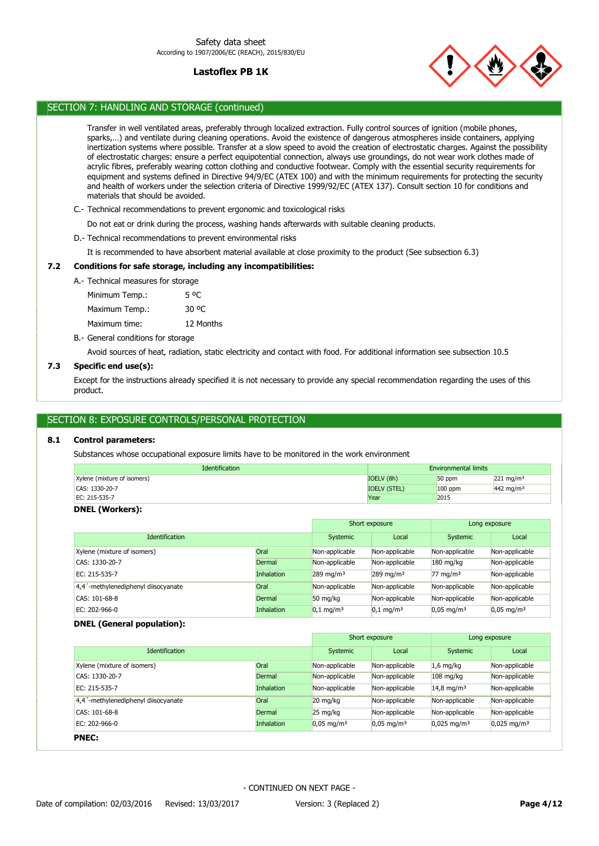

# SECTION 7: HANDLING AND STORAGE (continued)

Transfer in well ventilated areas, preferably through localized extraction. Fully control sources of ignition (mobile phones, sparks,…) and ventilate during cleaning operations. Avoid the existence of dangerous atmospheres inside containers, applying inertization systems where possible. Transfer at a slow speed to avoid the creation of electrostatic charges. Against the possibility of electrostatic charges: ensure a perfect equipotential connection, always use groundings, do not wear work clothes made of acrylic fibres, preferably wearing cotton clothing and conductive footwear. Comply with the essential security requirements for equipment and systems defined in Directive 94/9/EC (ATEX 100) and with the minimum requirements for protecting the security and health of workers under the selection criteria of Directive 1999/92/EC (ATEX 137). Consult section 10 for conditions and materials that should be avoided.

C.- Technical recommendations to prevent ergonomic and toxicological risks

Do not eat or drink during the process, washing hands afterwards with suitable cleaning products.

D.- Technical recommendations to prevent environmental risks

It is recommended to have absorbent material available at close proximity to the product (See subsection 6.3)

## **7.2 Conditions for safe storage, including any incompatibilities:**

A.- Technical measures for storage

Maximum Temp.: 30 °C Minimum Temp.: 5 °C

Maximum time: 12 Months

B.- General conditions for storage

Avoid sources of heat, radiation, static electricity and contact with food. For additional information see subsection 10.5

## **7.3 Specific end use(s):**

Except for the instructions already specified it is not necessary to provide any special recommendation regarding the uses of this product.

# SECTION 8: EXPOSURE CONTROLS/PERSONAL PROTECTION

## **8.1 Control parameters:**

Substances whose occupational exposure limits have to be monitored in the work environment

| <b>Identification</b>       | <b>Environmental limits</b> |           |                      |
|-----------------------------|-----------------------------|-----------|----------------------|
| Xylene (mixture of isomers) | IOELV (8h)                  | 50 ppm    | $221 \text{ mg/m}^3$ |
| CAS: 1330-20-7              | <b>IOELV (STEL)</b>         | $100$ ppm | $442 \text{ mg/m}^3$ |
| EC: 215-535-7               | Year                        | 2015      |                      |

### **DNEL (Workers):**

|                                     |                   |                         | Short exposure          |                          | Long exposure         |
|-------------------------------------|-------------------|-------------------------|-------------------------|--------------------------|-----------------------|
| <b>Identification</b>               |                   | Systemic                | Local                   | Systemic                 | Local                 |
| Xylene (mixture of isomers)         | Oral              | Non-applicable          | Non-applicable          | Non-applicable           | Non-applicable        |
| CAS: 1330-20-7                      | Dermal            | Non-applicable          | Non-applicable          | $180$ mg/kg              | Non-applicable        |
| EC: 215-535-7                       | <b>Inhalation</b> | $289 \text{ mg/m}^3$    | $289$ mg/m <sup>3</sup> | $77 \text{ mg/m}^3$      | Non-applicable        |
| 4,4'-methylenediphenyl diisocyanate | Oral              | Non-applicable          | Non-applicable          | Non-applicable           | Non-applicable        |
| CAS: 101-68-8                       | Dermal            | 50 ma/ka                | Non-applicable          | Non-applicable           | Non-applicable        |
| $EC: 202-966-0$                     | <b>Inhalation</b> | $0,1$ mg/m <sup>3</sup> | $0.1$ mg/m <sup>3</sup> | $0.05$ mg/m <sup>3</sup> | $0.05 \text{ mg/m}^3$ |

### **DNEL (General population):**

|                                                  |                   |                       | Short exposure           |                           | Long exposure          |
|--------------------------------------------------|-------------------|-----------------------|--------------------------|---------------------------|------------------------|
| <b>Identification</b>                            |                   | Systemic              | Local                    | Systemic                  | Local                  |
| Xylene (mixture of isomers)                      | Oral              | Non-applicable        | Non-applicable           | $1.6$ mg/kg               | Non-applicable         |
| CAS: 1330-20-7                                   | Dermal            | Non-applicable        | Non-applicable           | $108$ mg/kg               | Non-applicable         |
| EC: 215-535-7                                    | <b>Inhalation</b> | Non-applicable        | Non-applicable           | 14,8 mg/m <sup>3</sup>    | Non-applicable         |
| 4,4 <sup>'</sup> -methylenediphenyl diisocyanate | Oral              | $20 \text{ mg/kg}$    | Non-applicable           | Non-applicable            | Non-applicable         |
| CAS: 101-68-8                                    | Dermal            | $25 \text{ mg/kg}$    | Non-applicable           | Non-applicable            | Non-applicable         |
| EC: $202-966-0$                                  | <b>Inhalation</b> | $0.05 \text{ mg/m}^3$ | $0.05$ mg/m <sup>3</sup> | $0.025$ mg/m <sup>3</sup> | $0,025 \text{ mg/m}^3$ |
| <b>PNEC:</b>                                     |                   |                       |                          |                           |                        |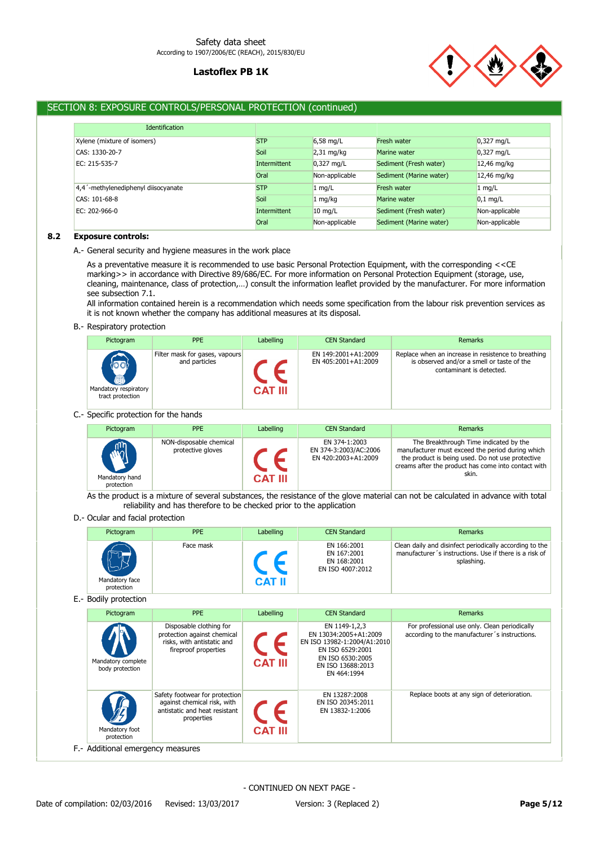

# SECTION 8: EXPOSURE CONTROLS/PERSONAL PROTECTION (continued)

| <b>Identification</b>               |              |                |                         |                |
|-------------------------------------|--------------|----------------|-------------------------|----------------|
| Xylene (mixture of isomers)         | <b>STP</b>   | $6,58$ mg/L    | Fresh water             | $0,327$ mg/L   |
| CAS: 1330-20-7                      | Soil         | $2,31$ mg/kg   | Marine water            | $0,327$ mg/L   |
| EC: 215-535-7                       | Intermittent | $0,327$ mg/L   | Sediment (Fresh water)  | 12,46 mg/kg    |
|                                     | Oral         | Non-applicable | Sediment (Marine water) | 12,46 mg/kg    |
| 4,4'-methylenediphenyl diisocyanate | <b>STP</b>   | $1$ mg/L       | Fresh water             | $1$ mg/L       |
| CAS: 101-68-8                       | Soil         | $1$ mg/kg      | Marine water            | $0,1$ mg/L     |
| EC: 202-966-0                       | Intermittent | $10$ mg/L      | Sediment (Fresh water)  | Non-applicable |
|                                     | Oral         | Non-applicable | Sediment (Marine water) | Non-applicable |

## **8.2 Exposure controls:**

### A.- General security and hygiene measures in the work place

As a preventative measure it is recommended to use basic Personal Protection Equipment, with the corresponding <<CE marking>> in accordance with Directive 89/686/EC. For more information on Personal Protection Equipment (storage, use, cleaning, maintenance, class of protection,…) consult the information leaflet provided by the manufacturer. For more information see subsection 7.1.

All information contained herein is a recommendation which needs some specification from the labour risk prevention services as it is not known whether the company has additional measures at its disposal.

### B.- Respiratory protection

| Pictogram                                                  | <b>PPE</b>                                      | Labelling      | <b>CEN Standard</b>                        | <b>Remarks</b>                                                                                                                |
|------------------------------------------------------------|-------------------------------------------------|----------------|--------------------------------------------|-------------------------------------------------------------------------------------------------------------------------------|
| $\{oo\}$<br>画<br>Mandatory respiratory<br>tract protection | Filter mask for gases, vapours<br>and particles | <b>CAT III</b> | EN 149:2001+A1:2009<br>EN 405:2001+A1:2009 | Replace when an increase in resistence to breathing<br>is observed and/or a smell or taste of the<br>contaminant is detected. |

## C.- Specific protection for the hands

| Pictogram                                  | <b>PPE</b>                                   | Labelling      | <b>CEN Standard</b>                                           | Remarks                                                                                                                                                                                                        |
|--------------------------------------------|----------------------------------------------|----------------|---------------------------------------------------------------|----------------------------------------------------------------------------------------------------------------------------------------------------------------------------------------------------------------|
| <b>ARA</b><br>Mandatory hand<br>protection | NON-disposable chemical<br>protective gloves | <b>CAT III</b> | EN 374-1:2003<br>EN 374-3:2003/AC:2006<br>EN 420:2003+A1:2009 | The Breakthrough Time indicated by the<br>manufacturer must exceed the period during which<br>the product is being used. Do not use protective<br>creams after the product has come into contact with<br>skin. |

As the product is a mixture of several substances, the resistance of the glove material can not be calculated in advance with total reliability and has therefore to be checked prior to the application

### D.- Ocular and facial protection

| Pictogram                    | <b>PPE</b> | Labelling    | <b>CEN Standard</b>                                           | Remarks                                                                                                                         |
|------------------------------|------------|--------------|---------------------------------------------------------------|---------------------------------------------------------------------------------------------------------------------------------|
| Mandatory face<br>protection | Face mask  | <b>CAT</b> b | EN 166:2001<br>EN 167:2001<br>EN 168:2001<br>EN ISO 4007:2012 | Clean daily and disinfect periodically according to the<br>manufacturer's instructions. Use if there is a risk of<br>splashing. |

E.- Bodily protection

| Pictogram                             | <b>PPE</b>                                                                                                   | Labelling      | <b>CEN Standard</b>                                                                                                                               | <b>Remarks</b>                                                                                 |
|---------------------------------------|--------------------------------------------------------------------------------------------------------------|----------------|---------------------------------------------------------------------------------------------------------------------------------------------------|------------------------------------------------------------------------------------------------|
| Mandatory complete<br>body protection | Disposable clothing for<br>protection against chemical<br>risks, with antistatic and<br>fireproof properties | <b>CAT III</b> | EN 1149-1.2.3<br>EN 13034:2005+A1:2009<br>EN ISO 13982-1:2004/A1:2010<br>EN ISO 6529:2001<br>EN ISO 6530:2005<br>EN ISO 13688:2013<br>EN 464:1994 | For professional use only. Clean periodically<br>according to the manufacturer's instructions. |
| Mandatory foot<br>protection          | Safety footwear for protection<br>against chemical risk, with<br>antistatic and heat resistant<br>properties | <b>CAT III</b> | EN 13287:2008<br>EN ISO 20345:2011<br>EN 13832-1:2006                                                                                             | Replace boots at any sign of deterioration.                                                    |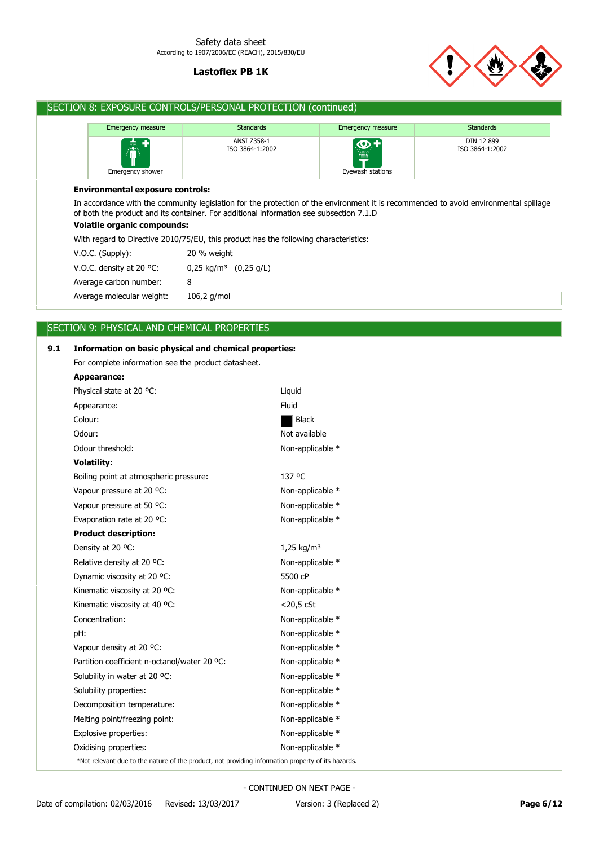

# SECTION 8: EXPOSURE CONTROLS/PERSONAL PROTECTION (continued)

| <b>Emergency measure</b>    | <b>Standards</b>               | <b>Emergency measure</b>         | <b>Standards</b>              |
|-----------------------------|--------------------------------|----------------------------------|-------------------------------|
| 憑<br>в.<br>Emergency shower | ANSI Z358-1<br>ISO 3864-1:2002 | <u> ဇ္</u> မ<br>Eyewash stations | DIN 12 899<br>ISO 3864-1:2002 |

### **Environmental exposure controls:**

In accordance with the community legislation for the protection of the environment it is recommended to avoid environmental spillage of both the product and its container. For additional information see subsection 7.1.D

# **Volatile organic compounds:**

With regard to Directive 2010/75/EU, this product has the following characteristics:

| $V.O.C.$ (Supply):                 | 20 % weight                       |  |
|------------------------------------|-----------------------------------|--|
| V.O.C. density at 20 $^{\circ}$ C: | 0,25 kg/m <sup>3</sup> (0,25 g/L) |  |
| Average carbon number:             | 8                                 |  |
| Average molecular weight:          | $106,2$ g/mol                     |  |

# SECTION 9: PHYSICAL AND CHEMICAL PROPERTIES

| 9.1 | Information on basic physical and chemical properties:                                             |                        |  |  |
|-----|----------------------------------------------------------------------------------------------------|------------------------|--|--|
|     | For complete information see the product datasheet.                                                |                        |  |  |
|     | Appearance:                                                                                        |                        |  |  |
|     | Physical state at 20 °C:                                                                           | Liquid                 |  |  |
|     | Appearance:                                                                                        | Fluid                  |  |  |
|     | Colour:                                                                                            | <b>Black</b>           |  |  |
|     | Odour:                                                                                             | Not available          |  |  |
|     | Odour threshold:                                                                                   | Non-applicable *       |  |  |
|     | <b>Volatility:</b>                                                                                 |                        |  |  |
|     | Boiling point at atmospheric pressure:                                                             | 137 °C                 |  |  |
|     | Vapour pressure at 20 °C:                                                                          | Non-applicable *       |  |  |
|     | Vapour pressure at 50 °C:                                                                          | Non-applicable *       |  |  |
|     | Evaporation rate at 20 °C:                                                                         | Non-applicable *       |  |  |
|     | <b>Product description:</b>                                                                        |                        |  |  |
|     | Density at 20 °C:                                                                                  | 1,25 kg/m <sup>3</sup> |  |  |
|     | Relative density at 20 °C:                                                                         | Non-applicable *       |  |  |
|     | Dynamic viscosity at 20 °C:                                                                        | 5500 cP                |  |  |
|     | Kinematic viscosity at 20 °C:                                                                      | Non-applicable *       |  |  |
|     | Kinematic viscosity at 40 °C:                                                                      | $<$ 20,5 $<$ CSt       |  |  |
|     | Concentration:                                                                                     | Non-applicable *       |  |  |
|     | pH:                                                                                                | Non-applicable *       |  |  |
|     | Vapour density at 20 °C:                                                                           | Non-applicable *       |  |  |
|     | Partition coefficient n-octanol/water 20 °C:                                                       | Non-applicable *       |  |  |
|     | Solubility in water at 20 °C:                                                                      | Non-applicable *       |  |  |
|     | Solubility properties:                                                                             | Non-applicable *       |  |  |
|     | Decomposition temperature:                                                                         | Non-applicable *       |  |  |
|     | Melting point/freezing point:                                                                      | Non-applicable *       |  |  |
|     | Explosive properties:                                                                              | Non-applicable *       |  |  |
|     | Oxidising properties:                                                                              | Non-applicable *       |  |  |
|     | *Not relevant due to the nature of the product, not providing information property of its hazards. |                        |  |  |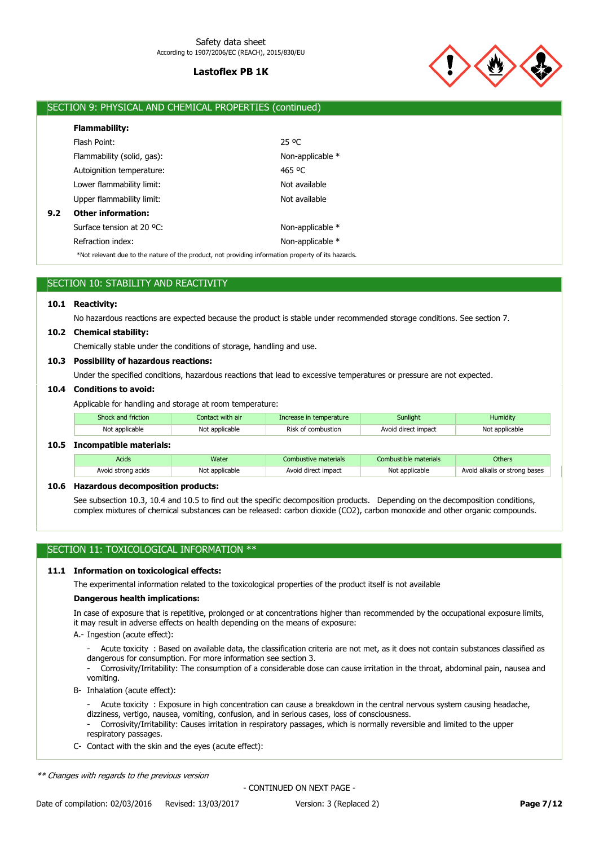

# SECTION 9: PHYSICAL AND CHEMICAL PROPERTIES (continued)

|     | <b>Flammability:</b>       |                  |
|-----|----------------------------|------------------|
|     | Flash Point:               | 25 °C            |
|     | Flammability (solid, gas): | Non-applicable * |
|     | Autoignition temperature:  | 465 °C           |
|     | Lower flammability limit:  | Not available    |
|     | Upper flammability limit:  | Not available    |
| 9.2 | <b>Other information:</b>  |                  |
|     | Surface tension at 20 °C:  | Non-applicable * |
|     | Refraction index:          | Non-applicable * |

\*Not relevant due to the nature of the product, not providing information property of its hazards.

| SECTION 10: STABILITY AND REACTIVITY |  |
|--------------------------------------|--|
|--------------------------------------|--|

# **10.1 Reactivity:**

No hazardous reactions are expected because the product is stable under recommended storage conditions. See section 7.

#### **10.2 Chemical stability:**

Chemically stable under the conditions of storage, handling and use.

### **10.3 Possibility of hazardous reactions:**

Under the specified conditions, hazardous reactions that lead to excessive temperatures or pressure are not expected.

### **10.4 Conditions to avoid:**

Applicable for handling and storage at room temperature:

| Shock and friction | Contact with air | Increase in temperature | Sunliaht            | Humidity       |  |
|--------------------|------------------|-------------------------|---------------------|----------------|--|
| Not applicable     | Not applicable   | Risk of combustion      | Avoid direct impact | Not applicable |  |

## **10.5 Incompatible materials:**

| Acids              | Water          | Combustive materials | Combustible materials | <b>Others</b>                 |
|--------------------|----------------|----------------------|-----------------------|-------------------------------|
| Avoid strong acids | Not applicable | Avoid direct impact  | Not applicable        | Avoid alkalis or strong bases |

### **10.6 Hazardous decomposition products:**

See subsection 10.3, 10.4 and 10.5 to find out the specific decomposition products. Depending on the decomposition conditions, complex mixtures of chemical substances can be released: carbon dioxide (CO2), carbon monoxide and other organic compounds.

## SECTION 11: TOXICOLOGICAL INFORMATION \*\*

## **11.1 Information on toxicological effects:**

The experimental information related to the toxicological properties of the product itself is not available

## **Dangerous health implications:**

In case of exposure that is repetitive, prolonged or at concentrations higher than recommended by the occupational exposure limits, it may result in adverse effects on health depending on the means of exposure:

A.- Ingestion (acute effect):

- Acute toxicity : Based on available data, the classification criteria are not met, as it does not contain substances classified as dangerous for consumption. For more information see section 3.

- Corrosivity/Irritability: The consumption of a considerable dose can cause irritation in the throat, abdominal pain, nausea and vomiting.

B- Inhalation (acute effect):

Acute toxicity : Exposure in high concentration can cause a breakdown in the central nervous system causing headache, dizziness, vertigo, nausea, vomiting, confusion, and in serious cases, loss of consciousness.

- Corrosivity/Irritability: Causes irritation in respiratory passages, which is normally reversible and limited to the upper respiratory passages.
- C- Contact with the skin and the eyes (acute effect):

\*\* Changes with regards to the previous version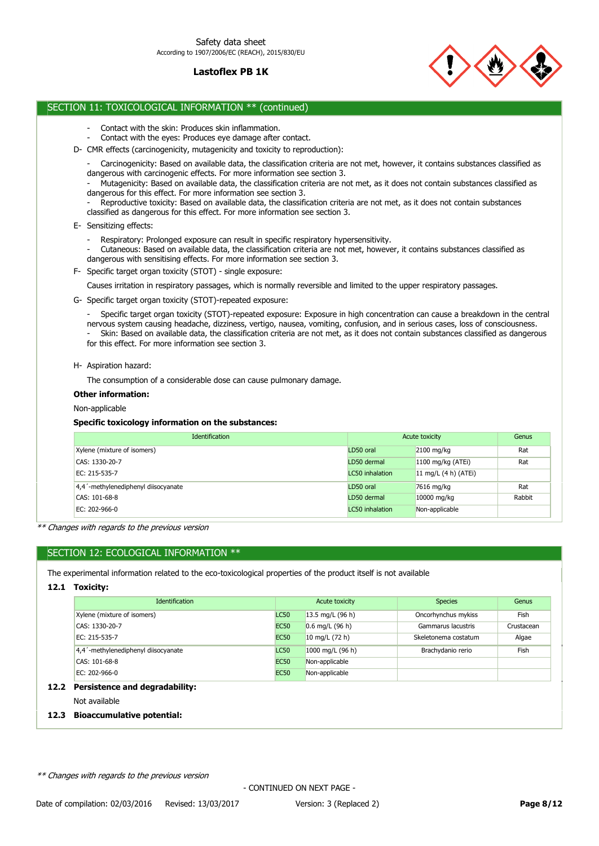

# SECTION 11: TOXICOLOGICAL INFORMATION \*\* (continued)

- Contact with the skin: Produces skin inflammation.
- Contact with the eyes: Produces eye damage after contact.
- D- CMR effects (carcinogenicity, mutagenicity and toxicity to reproduction):
	- Carcinogenicity: Based on available data, the classification criteria are not met, however, it contains substances classified as dangerous with carcinogenic effects. For more information see section 3.
	- Mutagenicity: Based on available data, the classification criteria are not met, as it does not contain substances classified as dangerous for this effect. For more information see section 3.
	- Reproductive toxicity: Based on available data, the classification criteria are not met, as it does not contain substances classified as dangerous for this effect. For more information see section 3.
- E- Sensitizing effects:
	- Respiratory: Prolonged exposure can result in specific respiratory hypersensitivity.
	- Cutaneous: Based on available data, the classification criteria are not met, however, it contains substances classified as dangerous with sensitising effects. For more information see section 3.
- F- Specific target organ toxicity (STOT) single exposure:

Causes irritation in respiratory passages, which is normally reversible and limited to the upper respiratory passages.

G- Specific target organ toxicity (STOT)-repeated exposure:

- Specific target organ toxicity (STOT)-repeated exposure: Exposure in high concentration can cause a breakdown in the central nervous system causing headache, dizziness, vertigo, nausea, vomiting, confusion, and in serious cases, loss of consciousness. - Skin: Based on available data, the classification criteria are not met, as it does not contain substances classified as dangerous for this effect. For more information see section 3.

H- Aspiration hazard:

The consumption of a considerable dose can cause pulmonary damage.

### **Other information:**

Non-applicable

## **Specific toxicology information on the substances:**

| <b>Identification</b>               | Acute toxicity         |                          | Genus  |
|-------------------------------------|------------------------|--------------------------|--------|
| Xylene (mixture of isomers)         | LD50 oral              | $2100$ mg/kg             | Rat    |
| CAS: 1330-20-7                      | LD50 dermal            | $1100$ mg/kg (ATEi)      | Rat    |
| EC: 215-535-7                       | <b>LC50</b> inhalation | 11 mg/L $(4 h)$ $(ATEi)$ |        |
| 4,4'-methylenediphenyl diisocyanate | LD50 oral              | 7616 mg/kg               | Rat    |
| CAS: 101-68-8                       | LD50 dermal            | 10000 mg/kg              | Rabbit |
| EC: 202-966-0                       | LC50 inhalation        | Non-applicable           |        |

\*\* Changes with regards to the previous version

# SECTION 12: ECOLOGICAL INFORMATION \*\*

The experimental information related to the eco-toxicological properties of the product itself is not available

## **12.1 Toxicity:**

| <b>Identification</b>               | Acute toxicity |                    | <b>Species</b>       | Genus      |
|-------------------------------------|----------------|--------------------|----------------------|------------|
| Xylene (mixture of isomers)         | <b>LC50</b>    | 13.5 mg/L $(96 h)$ | Oncorhynchus mykiss  | Fish       |
| CAS: 1330-20-7<br><b>EC50</b>       |                | $0.6$ mg/L (96 h)  | Gammarus lacustris   | Crustacean |
| <b>EC50</b><br>EC: 215-535-7        |                | 10 mg/L $(72 h)$   | Skeletonema costatum | Algae      |
| 4,4'-methylenediphenyl diisocyanate | <b>LC50</b>    | 1000 mg/L (96 h)   | Brachydanio rerio    | Fish       |
| <b>EC50</b><br>CAS: 101-68-8        |                | Non-applicable     |                      |            |
| EC: 202-966-0<br><b>EC50</b>        |                | Non-applicable     |                      |            |

# **12.2 Persistence and degradability:**

Not available

### **12.3 Bioaccumulative potential:**

\*\* Changes with regards to the previous version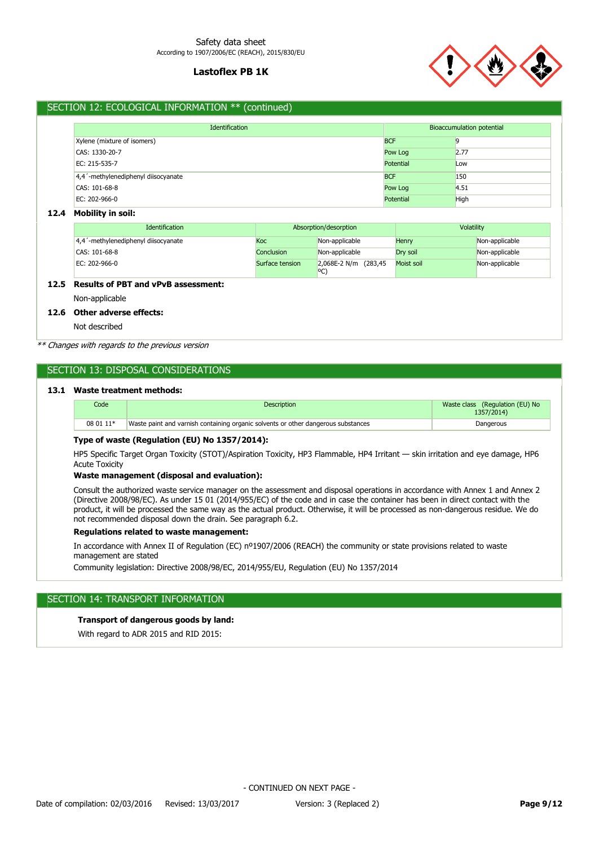

# SECTION 12: ECOLOGICAL INFORMATION \*\* (continued)

| Identification                            |            | Bioaccumulation potential |  |
|-------------------------------------------|------------|---------------------------|--|
| <b>BCF</b><br>Xylene (mixture of isomers) |            |                           |  |
| CAS: 1330-20-7                            | Pow Log    | 2.77                      |  |
| EC: 215-535-7                             | Potential  | Low                       |  |
| 4,4 '-methylenediphenyl diisocyanate      | <b>BCF</b> | 150                       |  |
| CAS: 101-68-8                             | Pow Log    | 4.51                      |  |
| EC: 202-966-0                             | Potential  | High                      |  |

### **12.4 Mobility in soil:**

| <b>Identification</b>               |                 | Absorption/desorption        | Volatility |                |
|-------------------------------------|-----------------|------------------------------|------------|----------------|
| 4,4'-methylenediphenyl diisocyanate | Koc             | Non-applicable               | Henry      | Non-applicable |
| CAS: 101-68-8                       | Conclusion      | Non-applicable               | Drv soil   | Non-applicable |
| EC: 202-966-0                       | Surface tension | 2,068E-2 N/m (283,45)<br>oC. | Moist soil | Non-applicable |

# **12.5 Results of PBT and vPvB assessment:**

Non-applicable

## **12.6 Other adverse effects:**

Not described

\*\* Changes with regards to the previous version

# SECTION 13: DISPOSAL CONSIDERATIONS

### **13.1 Waste treatment methods:**

| Code      | <b>Description</b>                                                                | Waste class (Regulation (EU) No<br>1357/2014) |
|-----------|-----------------------------------------------------------------------------------|-----------------------------------------------|
| 08 01 11* | Waste paint and varnish containing organic solvents or other dangerous substances | Dangerous                                     |

### **Type of waste (Regulation (EU) No 1357/2014):**

HP5 Specific Target Organ Toxicity (STOT)/Aspiration Toxicity, HP3 Flammable, HP4 Irritant — skin irritation and eye damage, HP6 Acute Toxicity

### **Waste management (disposal and evaluation):**

Consult the authorized waste service manager on the assessment and disposal operations in accordance with Annex 1 and Annex 2 (Directive 2008/98/EC). As under 15 01 (2014/955/EC) of the code and in case the container has been in direct contact with the product, it will be processed the same way as the actual product. Otherwise, it will be processed as non-dangerous residue. We do not recommended disposal down the drain. See paragraph 6.2.

## **Regulations related to waste management:**

In accordance with Annex II of Regulation (EC) nº1907/2006 (REACH) the community or state provisions related to waste management are stated

Community legislation: Directive 2008/98/EC, 2014/955/EU, Regulation (EU) No 1357/2014

# SECTION 14: TRANSPORT INFORMATION

# **Transport of dangerous goods by land:**

With regard to ADR 2015 and RID 2015: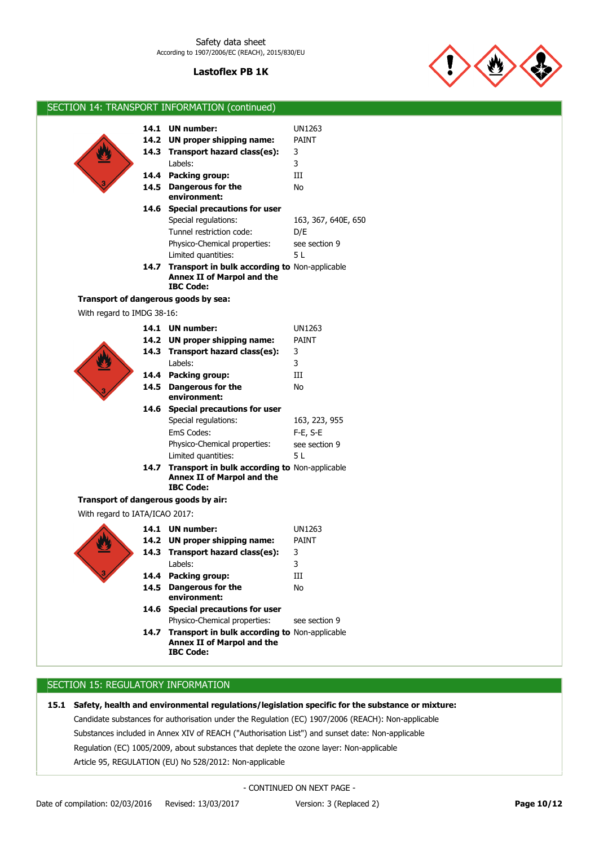

SECTION 14: TRANSPORT INFORMATION (continued)

|                                      |      | 14.1 UN number:                                                                                             | UN1263              |
|--------------------------------------|------|-------------------------------------------------------------------------------------------------------------|---------------------|
|                                      |      | 14.2 UN proper shipping name:                                                                               | <b>PAINT</b>        |
|                                      |      | 14.3 Transport hazard class(es):                                                                            | 3                   |
|                                      |      | Labels:                                                                                                     | 3                   |
|                                      |      | 14.4 Packing group:                                                                                         | Ш                   |
|                                      |      | 14.5 Dangerous for the                                                                                      | No                  |
|                                      |      | environment:                                                                                                |                     |
|                                      |      | 14.6 Special precautions for user                                                                           |                     |
|                                      |      | Special regulations:                                                                                        | 163, 367, 640E, 650 |
|                                      |      | Tunnel restriction code:                                                                                    | D/E                 |
|                                      |      | Physico-Chemical properties:                                                                                | see section 9       |
|                                      |      | Limited quantities:                                                                                         | 5 L                 |
|                                      |      | 14.7 Transport in bulk according to Non-applicable<br>Annex II of Marpol and the<br><b>IBC Code:</b>        |                     |
| Transport of dangerous goods by sea: |      |                                                                                                             |                     |
| With regard to IMDG 38-16:           |      |                                                                                                             |                     |
|                                      |      | 14.1 UN number:                                                                                             | UN1263              |
|                                      |      | 14.2 UN proper shipping name:                                                                               | <b>PAINT</b>        |
|                                      |      | 14.3 Transport hazard class(es):                                                                            | 3                   |
|                                      |      | Labels:                                                                                                     | 3                   |
|                                      |      | 14.4 Packing group:                                                                                         | Ш                   |
|                                      |      | 14.5 Dangerous for the<br>environment:                                                                      | No                  |
|                                      |      | 14.6 Special precautions for user                                                                           |                     |
|                                      |      | Special regulations:                                                                                        | 163, 223, 955       |
|                                      |      | EmS Codes:                                                                                                  | $F-E$ , S-E         |
|                                      |      | Physico-Chemical properties:                                                                                | see section 9       |
|                                      |      | Limited quantities:                                                                                         | 5 L                 |
|                                      |      | 14.7 Transport in bulk according to Non-applicable<br>Annex II of Marpol and the<br><b>IBC Code:</b>        |                     |
| Transport of dangerous goods by air: |      |                                                                                                             |                     |
| With regard to IATA/ICAO 2017:       |      |                                                                                                             |                     |
|                                      |      | 14.1 UN number:                                                                                             | <b>UN1263</b>       |
|                                      |      | 14.2 UN proper shipping name:                                                                               | <b>PAINT</b>        |
|                                      |      | 14.3 Transport hazard class(es):                                                                            | 3                   |
|                                      |      | Labels:                                                                                                     | 3                   |
|                                      |      | 14.4 Packing group:                                                                                         | Ш                   |
|                                      | 14.5 | <b>Dangerous for the</b><br>environment:                                                                    | No                  |
|                                      |      | 14.6 Special precautions for user                                                                           |                     |
|                                      |      | Physico-Chemical properties:                                                                                | see section 9       |
|                                      |      | 14.7 Transport in bulk according to Non-applicable<br><b>Annex II of Marpol and the</b><br><b>IBC Code:</b> |                     |

# SECTION 15: REGULATORY INFORMATION

**15.1 Safety, health and environmental regulations/legislation specific for the substance or mixture:**

Article 95, REGULATION (EU) No 528/2012: Non-applicable Regulation (EC) 1005/2009, about substances that deplete the ozone layer: Non-applicable Substances included in Annex XIV of REACH ("Authorisation List") and sunset date: Non-applicable Candidate substances for authorisation under the Regulation (EC) 1907/2006 (REACH): Non-applicable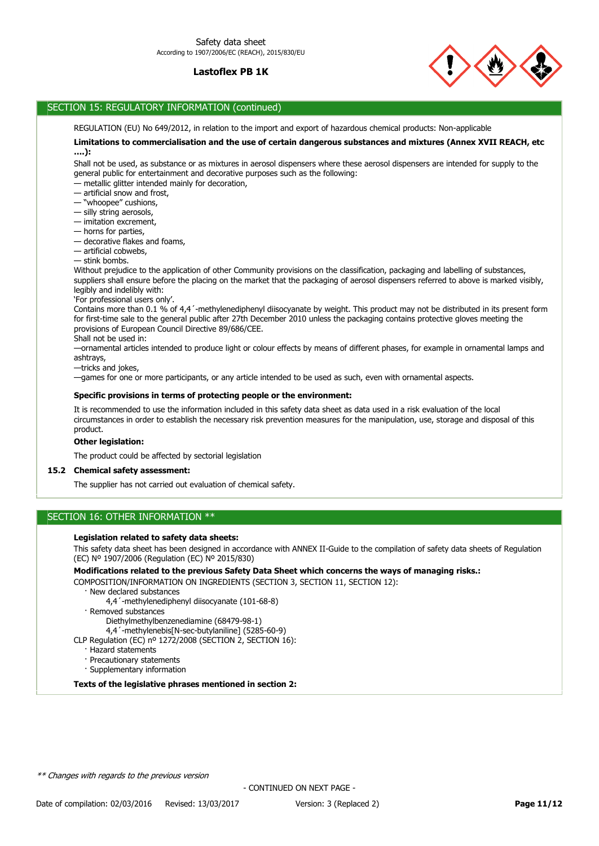

# SECTION 15: REGULATORY INFORMATION (continued)

REGULATION (EU) No 649/2012, in relation to the import and export of hazardous chemical products: Non-applicable

### **Limitations to commercialisation and the use of certain dangerous substances and mixtures (Annex XVII REACH, etc ….):**

Shall not be used, as substance or as mixtures in aerosol dispensers where these aerosol dispensers are intended for supply to the general public for entertainment and decorative purposes such as the following:

- metallic glitter intended mainly for decoration,
- artificial snow and frost,
- "whoopee" cushions,
- silly string aerosols,
- imitation excrement,
- horns for parties,
- decorative flakes and foams,
- artificial cobwebs,
- stink bombs.

Without prejudice to the application of other Community provisions on the classification, packaging and labelling of substances, suppliers shall ensure before the placing on the market that the packaging of aerosol dispensers referred to above is marked visibly, legibly and indelibly with:

#### 'For professional users only'.

Contains more than 0.1 % of 4,4'-methylenediphenyl diisocyanate by weight. This product may not be distributed in its present form for first-time sale to the general public after 27th December 2010 unless the packaging contains protective gloves meeting the provisions of European Council Directive 89/686/CEE.

Shall not be used in:

—ornamental articles intended to produce light or colour effects by means of different phases, for example in ornamental lamps and ashtrays,

—tricks and jokes,

—games for one or more participants, or any article intended to be used as such, even with ornamental aspects.

### **Specific provisions in terms of protecting people or the environment:**

It is recommended to use the information included in this safety data sheet as data used in a risk evaluation of the local circumstances in order to establish the necessary risk prevention measures for the manipulation, use, storage and disposal of this product.

## **Other legislation:**

The product could be affected by sectorial legislation

## **15.2 Chemical safety assessment:**

The supplier has not carried out evaluation of chemical safety.

# SECTION 16: OTHER INFORMATION \*\*

### **Legislation related to safety data sheets:**

This safety data sheet has been designed in accordance with ANNEX II-Guide to the compilation of safety data sheets of Regulation (EC) Nº 1907/2006 (Regulation (EC) Nº 2015/830)

**Modifications related to the previous Safety Data Sheet which concerns the ways of managing risks.:**

COMPOSITION/INFORMATION ON INGREDIENTS (SECTION 3, SECTION 11, SECTION 12):

- · New declared substances
	- 4,4´-methylenediphenyl diisocyanate (101-68-8)
- · Removed substances
	- Diethylmethylbenzenediamine (68479-98-1)
	- 4,4´-methylenebis[N-sec-butylaniline] (5285-60-9)
- CLP Regulation (EC) nº 1272/2008 (SECTION 2, SECTION 16):
	- · Hazard statements
	- · Precautionary statements
	- · Supplementary information

**Texts of the legislative phrases mentioned in section 2:**

\*\* Changes with regards to the previous version